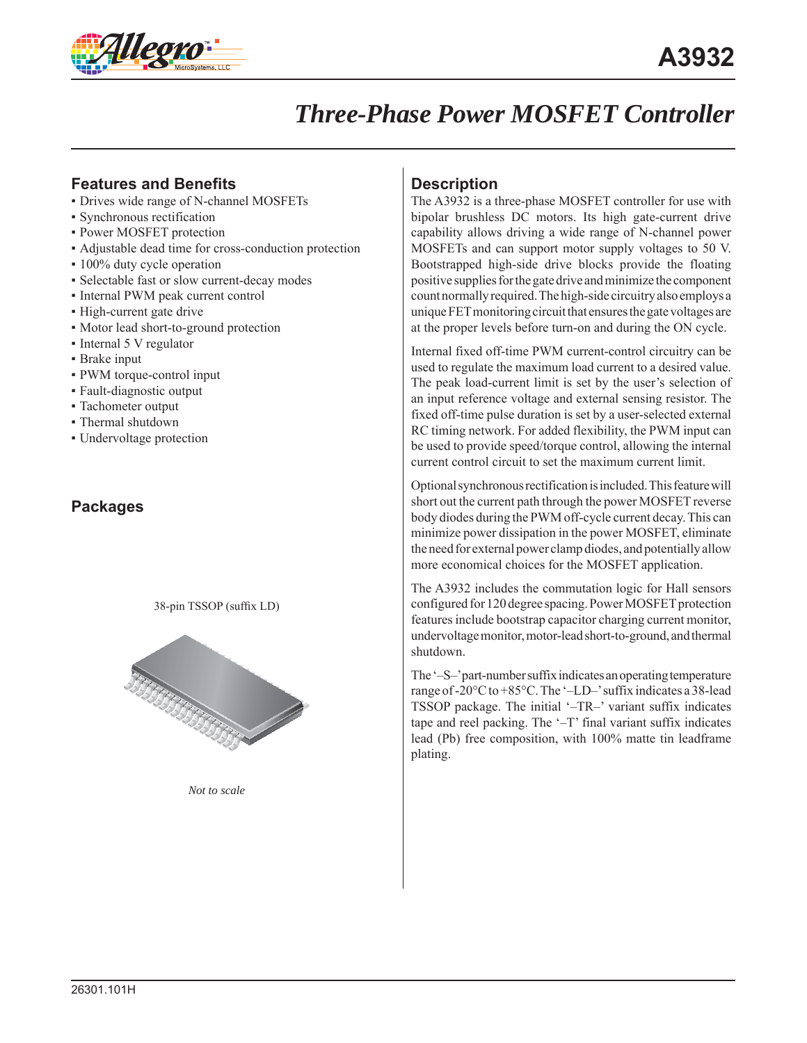

# *Three-Phase Power MOSFET Controller*

#### **Features and Benefits**

- Drives wide range of N-channel MOSFETs
- Synchronous rectification
- **Power MOSFET protection**
- Adjustable dead time for cross-conduction protection
- 100% duty cycle operation
- Selectable fast or slow current-decay modes
- Internal PWM peak current control
- High-current gate drive
- Motor lead short-to-ground protection
- Internal 5 V regulator
- Brake input
- PWM torque-control input
- Fault-diagnostic output
- Tachometer output
- Thermal shutdown
- Undervoltage protection

#### **Packages**

38-pin TSSOP (suffix LD)



*Not to scale*

#### **Description**

The A3932 is a three-phase MOSFET controller for use with bipolar brushless DC motors. Its high gate-current drive capability allows driving a wide range of N-channel power MOSFETs and can support motor supply voltages to 50 V. Bootstrapped high-side drive blocks provide the floating positive supplies for the gate drive and minimize the component count normally required. The high-side circuitry also employs a unique FET monitoring circuit that ensures the gate voltages are at the proper levels before turn-on and during the ON cycle.

Internal fixed off-time PWM current-control circuitry can be used to regulate the maximum load current to a desired value. The peak load-current limit is set by the user's selection of an input reference voltage and external sensing resistor. The fixed off-time pulse duration is set by a user-selected external RC timing network. For added flexibility, the PWM input can be used to provide speed/torque control, allowing the internal current control circuit to set the maximum current limit.

Optional synchronous rectification is included. This feature will short out the current path through the power MOSFET reverse body diodes during the PWM off-cycle current decay. This can minimize power dissipation in the power MOSFET, eliminate the need for external power clamp diodes, and potentially allow more economical choices for the MOSFET application.

The A3932 includes the commutation logic for Hall sensors configured for 120 degree spacing. Power MOSFET protection features include bootstrap capacitor charging current monitor, undervoltage monitor, motor-lead short-to-ground, and thermal shutdown.

The '–S–' part-number suffix indicates an operating temperature range of -20 $\degree$ C to +85 $\degree$ C. The '-LD-' suffix indicates a 38-lead TSSOP package. The initial '–TR–' variant suffix indicates tape and reel packing. The '–T' final variant suffix indicates lead (Pb) free composition, with 100% matte tin leadframe plating.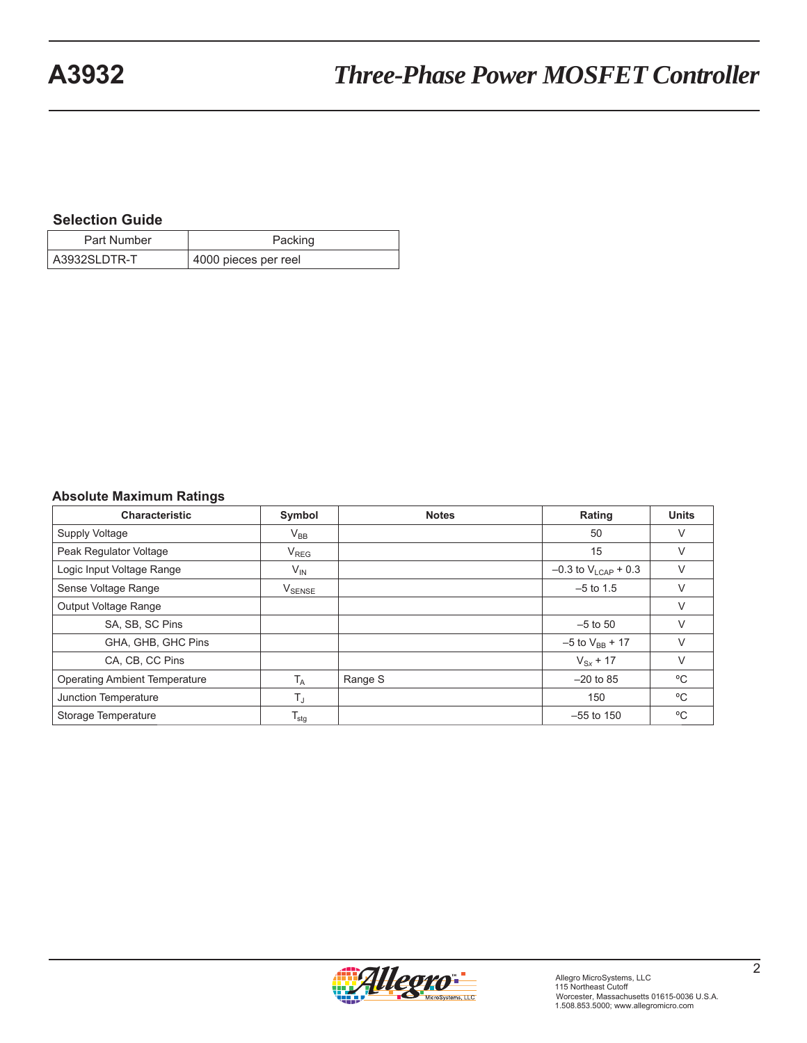#### **Selection Guide**

| Part Number  | Packing              |
|--------------|----------------------|
| A3932SLDTR-T | 4000 pieces per reel |

#### **Absolute Maximum Ratings**

| <b>Characteristic</b>                | Symbol                     | <b>Notes</b> | Rating                     | <b>Units</b> |
|--------------------------------------|----------------------------|--------------|----------------------------|--------------|
| Supply Voltage                       | $\mathsf{V}_{\mathsf{BB}}$ |              | 50                         | V            |
| Peak Regulator Voltage               | $V_{REG}$                  |              | 15                         | V            |
| Logic Input Voltage Range            | $V_{IN}$                   |              | $-0.3$ to $V_{LCAP}$ + 0.3 | $\vee$       |
| Sense Voltage Range                  | $V_{\text{SENSE}}$         |              | $-5$ to 1.5                | $\vee$       |
| Output Voltage Range                 |                            |              |                            | $\vee$       |
| SA, SB, SC Pins                      |                            |              | $-5$ to 50                 |              |
| GHA, GHB, GHC Pins                   |                            |              | $-5$ to $V_{BB}$ + 17      | $\vee$       |
| CA, CB, CC Pins                      |                            |              | $V_{Sx}$ + 17              | V            |
| <b>Operating Ambient Temperature</b> | $T_A$                      | Range S      | $-20$ to 85                | °C           |
| Junction Temperature                 | $T_{\rm J}$                |              | 150                        | °C           |
| Storage Temperature                  | $T_{\text{stg}}$           |              | $-55$ to 150               | $^{\circ}$ C |

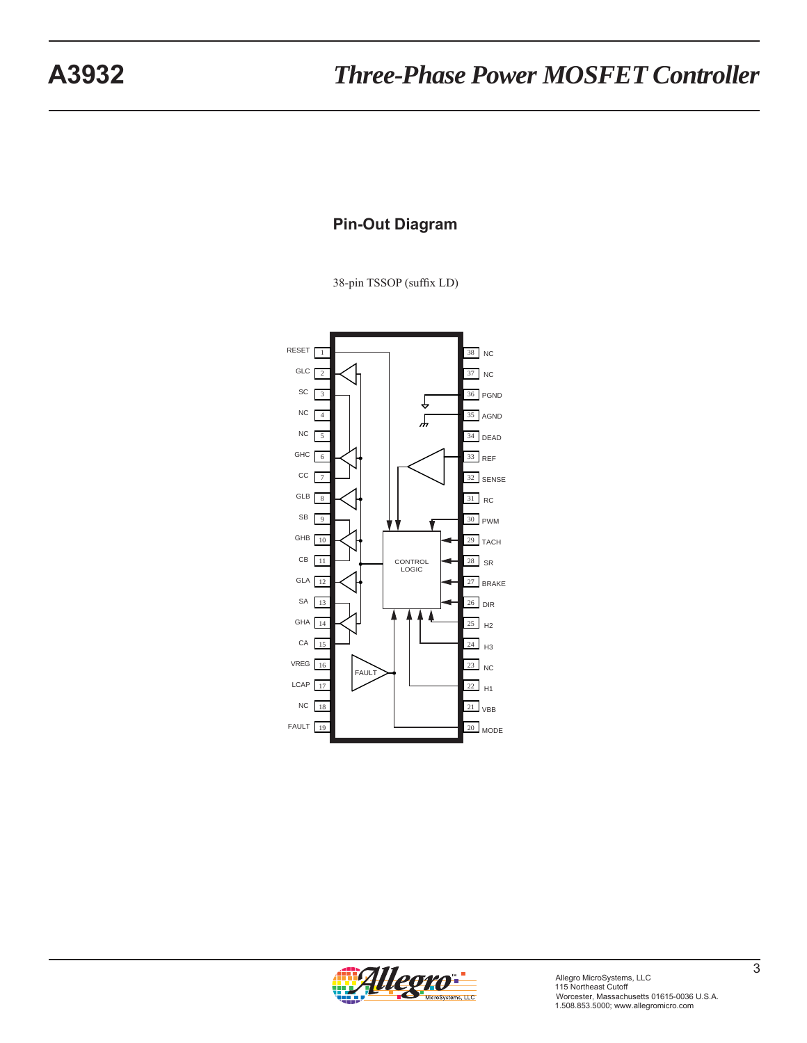## **Pin-Out Diagram**

38-pin TSSOP (suffix LD)



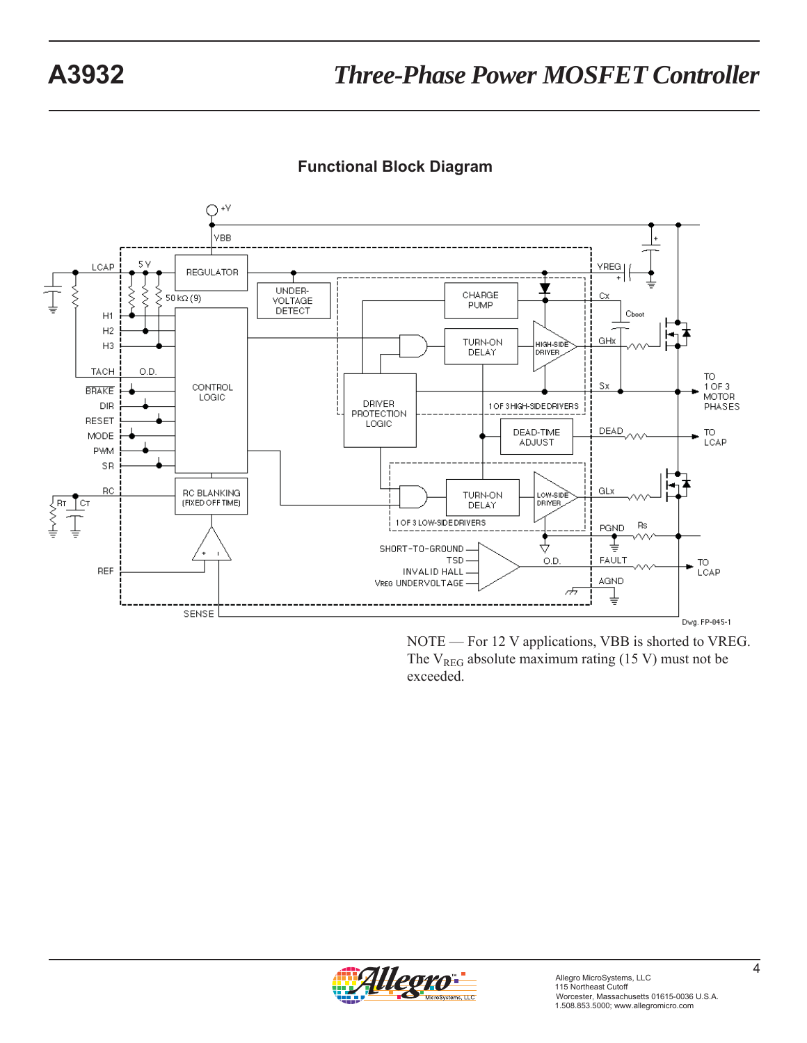



NOTE — For 12 V applications, VBB is shorted to VREG. The  $V_{REG}$  absolute maximum rating (15 V) must not be exceeded.

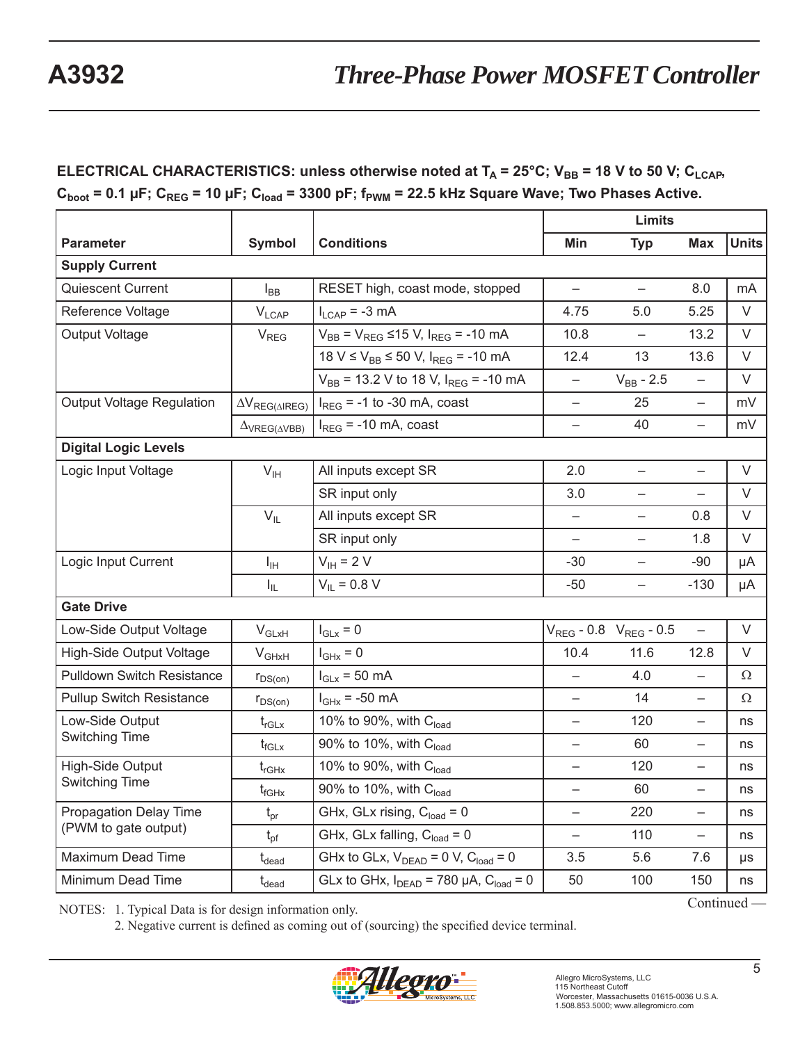# **ELECTRICAL CHARACTERISTICS: unless otherwise noted at**  $T_A = 25^{\circ}$ **C; V<sub>BB</sub> = 18 V to 50 V; C<sub>LCAP</sub>,**  $C_{boot} = 0.1 \mu F$ ;  $C_{REG} = 10 \mu F$ ;  $C_{load} = 3300 \mu F$ ;  $f_{PWM} = 22.5 \mu Hz$  Square Wave; Two Phases Active.

| <b>Parameter</b>                  | <b>Symbol</b>                 | <b>Conditions</b>                                   | Min                      | <b>Typ</b>                      | <b>Max</b>               | <b>Units</b> |  |  |  |
|-----------------------------------|-------------------------------|-----------------------------------------------------|--------------------------|---------------------------------|--------------------------|--------------|--|--|--|
| <b>Supply Current</b>             |                               |                                                     |                          |                                 |                          |              |  |  |  |
| Quiescent Current                 | $I_{BB}$                      | RESET high, coast mode, stopped                     | $\overline{\phantom{0}}$ | $\qquad \qquad -$               | 8.0                      | mA           |  |  |  |
| Reference Voltage                 | $V_{LCAP}$                    | $I_{LCAP} = -3 mA$                                  | 4.75                     | 5.0                             | 5.25                     | V            |  |  |  |
| <b>Output Voltage</b>             | $V_{REG}$                     | $V_{BB}$ = $V_{REG} \le 15$ V, $I_{REG}$ = -10 mA   | 10.8                     | $\overline{\phantom{0}}$        | 13.2                     | V            |  |  |  |
|                                   |                               | $18 V \le V_{BB} \le 50 V$ , $I_{BFG} = -10 mA$     | 12.4                     | 13                              | 13.6                     | $\vee$       |  |  |  |
|                                   |                               | $V_{BB}$ = 13.2 V to 18 V, $I_{REG}$ = -10 mA       | $\overline{\phantom{0}}$ | $V_{BB} - 2.5$                  |                          | $\vee$       |  |  |  |
| <b>Output Voltage Regulation</b>  | $\Delta V_{REG(\Delta IREG)}$ | $I_{\text{REG}}$ = -1 to -30 mA, coast              | $\overline{\phantom{0}}$ | 25                              | $\qquad \qquad -$        | mV           |  |  |  |
|                                   | $\Delta$ VREG( $\Delta$ VBB)  | $I_{REG}$ = -10 mA, coast                           | $\equiv$                 | 40                              | $\overline{\phantom{0}}$ | mV           |  |  |  |
| <b>Digital Logic Levels</b>       |                               |                                                     |                          |                                 |                          |              |  |  |  |
| Logic Input Voltage               | $V_{\text{IH}}$               | All inputs except SR                                | 2.0                      | $\overline{\phantom{0}}$        | $\qquad \qquad -$        | V            |  |  |  |
|                                   |                               | SR input only                                       | 3.0                      | $\qquad \qquad -$               | $\qquad \qquad -$        | V            |  |  |  |
|                                   | $V_{IL}$                      | All inputs except SR                                | $\overline{\phantom{0}}$ | $\qquad \qquad -$               | 0.8                      | V            |  |  |  |
|                                   |                               | SR input only                                       | —                        | $\qquad \qquad -$               | 1.8                      | V            |  |  |  |
| Logic Input Current               | $I_{\rm IH}$                  | $V_{IH}$ = 2 V                                      | $-30$                    | $\overline{\phantom{0}}$        | $-90$                    | μA           |  |  |  |
|                                   | $I_{IL}$                      | $V_{IL} = 0.8 V$                                    | $-50$                    | $\overline{\phantom{0}}$        | $-130$                   | μA           |  |  |  |
| <b>Gate Drive</b>                 |                               |                                                     |                          |                                 |                          |              |  |  |  |
| Low-Side Output Voltage           | $V_{GLxH}$                    | $I_{GLX} = 0$                                       |                          | $V_{REG} - 0.8$ $V_{REG} - 0.5$ | $\overline{\phantom{m}}$ | V            |  |  |  |
| High-Side Output Voltage          | $V_{GHxH}$                    | $I_{\text{GHx}} = 0$                                | 10.4                     | 11.6                            | 12.8                     | V            |  |  |  |
| <b>Pulldown Switch Resistance</b> | $r_{DS(on)}$                  | $I_{GLx}$ = 50 mA                                   | $\overline{\phantom{0}}$ | 4.0                             | $\qquad \qquad -$        | Ω            |  |  |  |
| <b>Pullup Switch Resistance</b>   | $r_{DS(on)}$                  | $I_{\text{GHx}}$ = -50 mA                           | $\overline{\phantom{0}}$ | 14                              | $\overline{\phantom{a}}$ | Ω            |  |  |  |
| Low-Side Output                   | $t_{rGLx}$                    | 10% to 90%, with Cload                              | —                        | 120                             | —                        | ns           |  |  |  |
| Switching Time                    | $t_{fGLx}$                    | 90% to 10%, with C <sub>load</sub>                  | $\overline{\phantom{0}}$ | 60                              | $\qquad \qquad -$        | ns           |  |  |  |
| <b>High-Side Output</b>           | $t_{rGHx}$                    | 10% to 90%, with Cload                              |                          | 120                             | —                        | ns           |  |  |  |
| Switching Time                    | $t_{fGHx}$                    | 90% to 10%, with Cload                              | —                        | 60                              | $\qquad \qquad -$        | ns           |  |  |  |
| Propagation Delay Time            | $t_{pr}$                      | GHx, GLx rising, $C_{load} = 0$                     | —                        | 220                             | $\qquad \qquad -$        | ns           |  |  |  |
| (PWM to gate output)              | $t_{\text{pf}}$               | GHx, GLx falling, $C_{load} = 0$                    | $\qquad \qquad -$        | 110                             | $\qquad \qquad -$        | ns           |  |  |  |
| Maximum Dead Time                 | $t_{\text{dead}}$             | GHx to GLx, $V_{DEAD} = 0 V$ , $C_{load} = 0$       | 3.5                      | 5.6                             | 7.6                      | μs           |  |  |  |
| Minimum Dead Time                 | $t_{\text{dead}}$             | GLx to GHx, $I_{DEAD} = 780 \mu A$ , $C_{load} = 0$ | 50                       | 100                             | 150                      | ns           |  |  |  |
|                                   |                               |                                                     |                          |                                 | Continued -              |              |  |  |  |

NOTES: 1. Typical Data is for design information only.

2. Negative current is defined as coming out of (sourcing) the specified device terminal.

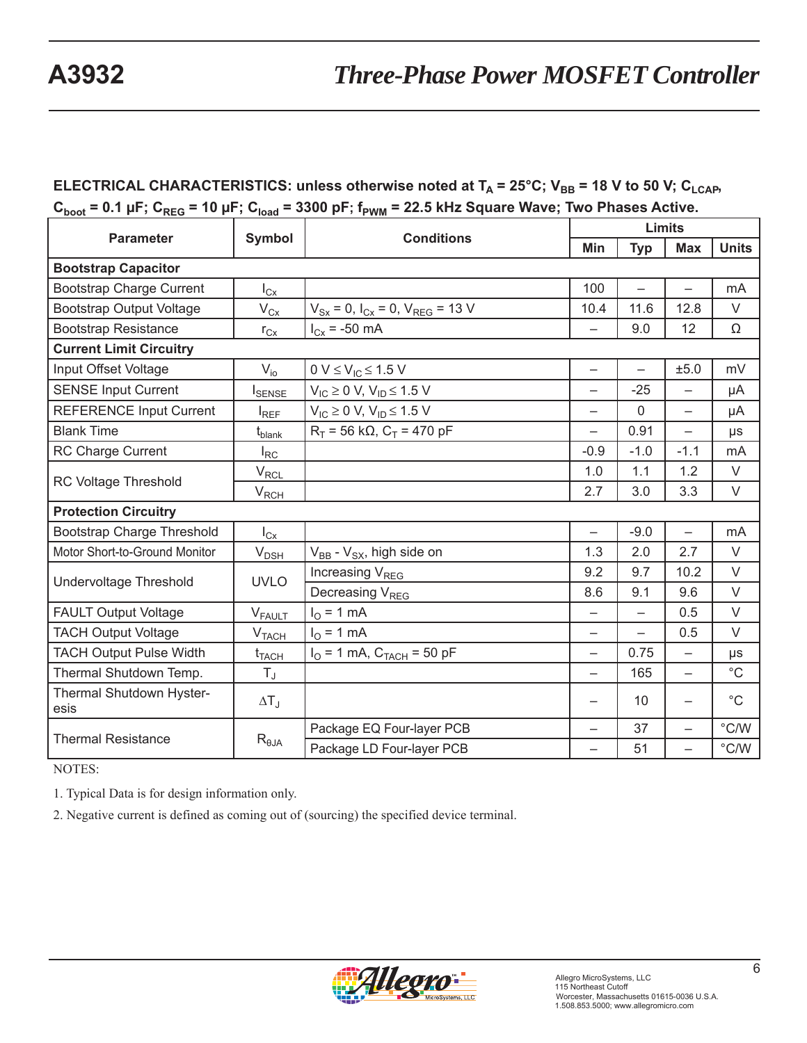# **ELECTRICAL CHARACTERISTICS: unless otherwise noted at**  $T_A = 25^{\circ}$ **C; V<sub>BB</sub> = 18 V to 50 V; C<sub>LCAP</sub>,**  $C_{boot}$  = 0.1 µF;  $C_{REG}$  = 10 µF;  $C_{load}$  = 3300 pF;  $f_{PWM}$  = 22.5 kHz Square Wave; Two Phases Active.

|                                                  |                           |                                                                   | <b>Limits</b>            |                          |                          |                |  |
|--------------------------------------------------|---------------------------|-------------------------------------------------------------------|--------------------------|--------------------------|--------------------------|----------------|--|
| <b>Parameter</b>                                 | Symbol                    | <b>Conditions</b>                                                 | Min                      | <b>Typ</b>               | <b>Max</b>               | <b>Units</b>   |  |
| <b>Bootstrap Capacitor</b>                       |                           |                                                                   |                          |                          |                          |                |  |
| <b>Bootstrap Charge Current</b>                  | $I_{\text{Cx}}$           |                                                                   | 100                      |                          |                          | mA             |  |
| <b>Bootstrap Output Voltage</b>                  | $V_{Cx}$                  | $V_{Sx} = 0$ , $I_{Cx} = 0$ , $V_{REG} = 13$ V                    | 10.4                     | 11.6                     | 12.8                     | V              |  |
| <b>Bootstrap Resistance</b>                      | $r_{Cx}$                  | $I_{Cx} = -50$ mA                                                 | $\overline{\phantom{0}}$ | 9.0                      | 12                       | Ω              |  |
| <b>Current Limit Circuitry</b>                   |                           |                                                                   |                          |                          |                          |                |  |
| Input Offset Voltage                             | $V_{io}$                  | $0 V \leq V_{IC} \leq 1.5 V$                                      | $\overline{\phantom{0}}$ | $\equiv$                 | ±5.0                     | mV             |  |
| <b>SENSE Input Current</b>                       | I <sub>SENSE</sub>        | $V_{IC} \ge 0$ V, $V_{ID} \le 1.5$ V                              |                          | $-25$                    |                          | μA             |  |
| <b>REFERENCE Input Current</b>                   | $I_{REF}$                 | $V_{IC} \ge 0$ V, $V_{ID} \le 1.5$ V                              | —                        | $\Omega$                 | —                        | μA             |  |
| <b>Blank Time</b>                                | $t_{\sf blank}$           | $R_T$ = 56 k $\Omega$ , $C_T$ = 470 pF                            |                          | 0.91                     |                          | $\mu s$        |  |
| RC Charge Current                                | $I_{RC}$                  |                                                                   | $-0.9$                   | $-1.0$                   | $-1.1$                   | m <sub>A</sub> |  |
|                                                  | $V_{RCL}$                 |                                                                   | 1.0                      | 1.1                      | 1.2                      | V              |  |
| <b>RC Voltage Threshold</b>                      | $V_{RCH}$                 |                                                                   | 2.7                      | 3.0                      | 3.3                      | V              |  |
| <b>Protection Circuitry</b>                      |                           |                                                                   |                          |                          |                          |                |  |
| <b>Bootstrap Charge Threshold</b>                | $I_{\text{Cx}}$           |                                                                   | $\overline{\phantom{0}}$ | $-9.0$                   | $\equiv$                 | mA             |  |
| Motor Short-to-Ground Monitor<br>$V_{DSH}$       |                           | $V_{BB}$ - $V_{SX}$ , high side on                                | 1.3                      | 2.0                      | 2.7                      | V              |  |
| <b>Undervoltage Threshold</b>                    | <b>UVLO</b>               | Increasing V <sub>REG</sub>                                       | 9.2                      | 9.7                      | 10.2                     | V              |  |
|                                                  |                           | Decreasing V <sub>REG</sub>                                       | 8.6                      | 9.1                      | 9.6                      | V              |  |
| <b>FAULT Output Voltage</b>                      | <b>V</b> <sub>FAULT</sub> | $I0 = 1 mA$                                                       |                          | $\overline{\phantom{0}}$ | 0.5                      | $\vee$         |  |
| <b>TACH Output Voltage</b>                       | V <sub>TACH</sub>         | $I_{\Omega}$ = 1 mA                                               | $\overline{\phantom{0}}$ | $\equiv$                 | 0.5                      | V              |  |
| <b>TACH Output Pulse Width</b><br>$t_{TACH}$     |                           | $I_{\text{O}} = 1 \text{ mA}$ , $C_{\text{TACH}} = 50 \text{ pF}$ | —                        | 0.75                     | $\equiv$                 | $\mu s$        |  |
| Thermal Shutdown Temp.                           | $T_{J}$                   |                                                                   | —                        | 165                      | $\equiv$                 | $^{\circ}C$    |  |
| Thermal Shutdown Hyster-<br>$\Delta T_J$<br>esis |                           |                                                                   | —                        | 10                       | $\overline{\phantom{0}}$ | $^{\circ}C$    |  |
| <b>Thermal Resistance</b>                        |                           | Package EQ Four-layer PCB                                         |                          | 37                       | $\overline{\phantom{0}}$ | $^{\circ}$ C/W |  |
|                                                  | $R_{\theta$ JA            | Package LD Four-layer PCB                                         |                          | 51                       |                          | $\degree$ C/W  |  |

NOTES:

1. Typical Data is for design information only.

2. Negative current is defined as coming out of (sourcing) the specified device terminal.

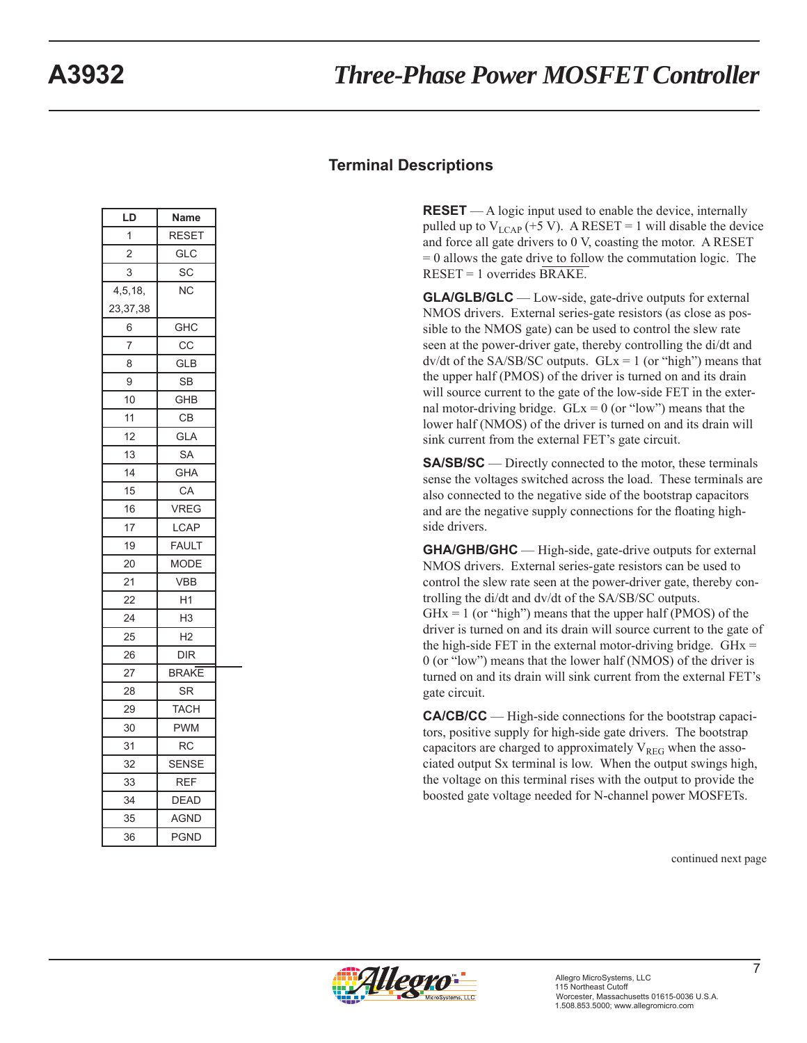#### **Terminal Descriptions**

**RESET** — A logic input used to enable the device, internally pulled up to  $V_{LCAP}$  (+5 V). A RESET = 1 will disable the device and force all gate drivers to 0 V, coasting the motor. A RESET  $= 0$  allows the gate drive to follow the commutation logic. The RESET = 1 overrides BRAKE.

**GLA/GLB/GLC** — Low-side, gate-drive outputs for external NMOS drivers. External series-gate resistors (as close as possible to the NMOS gate) can be used to control the slew rate seen at the power-driver gate, thereby controlling the di/dt and  $dv/dt$  of the SA/SB/SC outputs.  $GLx = 1$  (or "high") means that the upper half (PMOS) of the driver is turned on and its drain will source current to the gate of the low-side FET in the external motor-driving bridge.  $GLx = 0$  (or "low") means that the lower half (NMOS) of the driver is turned on and its drain will sink current from the external FET's gate circuit.

**SA/SB/SC** — Directly connected to the motor, these terminals sense the voltages switched across the load. These terminals are also connected to the negative side of the bootstrap capacitors and are the negative supply connections for the floating highside drivers.

**GHA/GHB/GHC** — High-side, gate-drive outputs for external NMOS drivers. External series-gate resistors can be used to control the slew rate seen at the power-driver gate, thereby controlling the di/dt and dv/dt of the SA/SB/SC outputs.  $GHx = 1$  (or "high") means that the upper half (PMOS) of the driver is turned on and its drain will source current to the gate of the high-side FET in the external motor-driving bridge.  $GHx =$ 0 (or "low") means that the lower half (NMOS) of the driver is turned on and its drain will sink current from the external FET's gate circuit.

**CA/CB/CC** — High-side connections for the bootstrap capacitors, positive supply for high-side gate drivers. The bootstrap capacitors are charged to approximately  $V_{REG}$  when the associated output Sx terminal is low. When the output swings high, the voltage on this terminal rises with the output to provide the boosted gate voltage needed for N-channel power MOSFETs.

continued next page

|  | MicroSystems, LLC |
|--|-------------------|

**LD Name** 1 RESET 2 GLC 3 SC 4,5,18, 23,37,38 NC 6 | GHC 7 CC 8 GLB  $9$  SB 10 GHB 11 CB 12 GLA 13 SA 14 GHA 15 CA 16 VREG 17 | LCAP 19 FAULT 20 MODE 21 VBB 22 H1 24 H3 25 H2 26 DIR 27 BRAKE 28 SR 29 | TACH 30 PWM 31 RC 32 SENSE 33 REF 34 DEAD 35 AGND 36 PGND

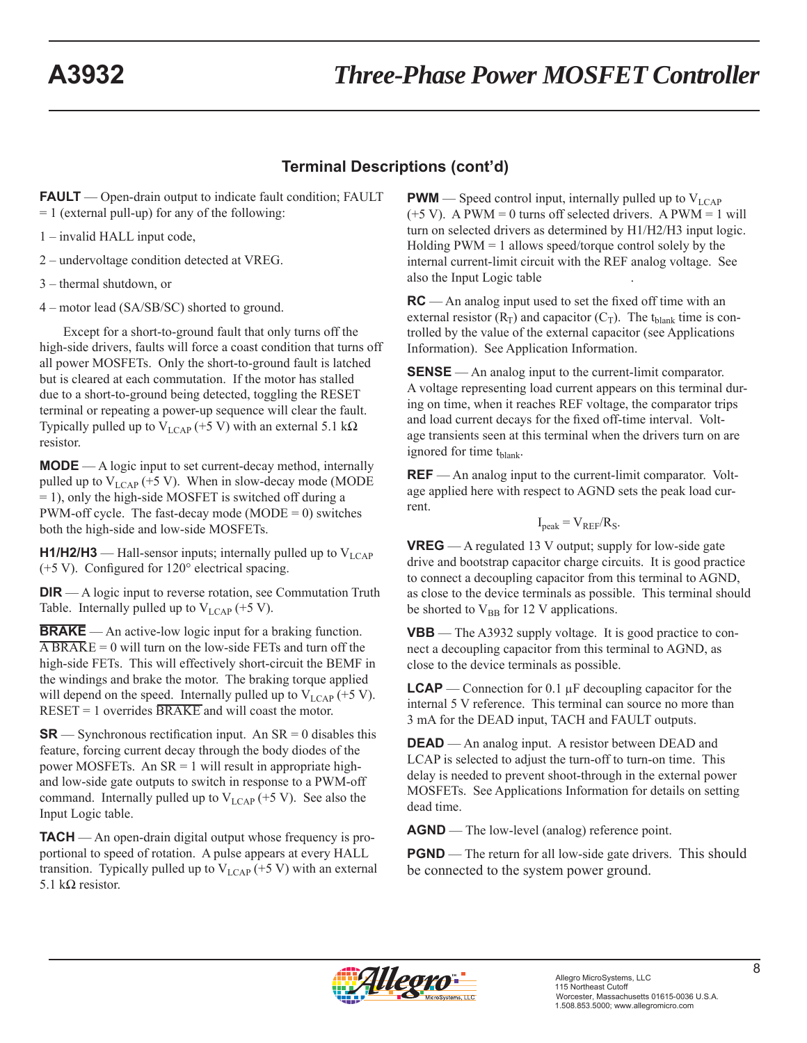## **Terminal Descriptions (cont'd)**

**FAULT** — Open-drain output to indicate fault condition; FAULT  $= 1$  (external pull-up) for any of the following:

1 – invalid HALL input code,

2 – undervoltage condition detected at VREG.

3 – thermal shutdown, or

4 – motor lead (SA/SB/SC) shorted to ground.

Except for a short-to-ground fault that only turns off the high-side drivers, faults will force a coast condition that turns off all power MOSFETs. Only the short-to-ground fault is latched but is cleared at each commutation. If the motor has stalled due to a short-to-ground being detected, toggling the RESET terminal or repeating a power-up sequence will clear the fault. Typically pulled up to  $V_{LCAP}$  (+5 V) with an external 5.1 kΩ resistor.

**MODE** — A logic input to set current-decay method, internally pulled up to  $V_{LCAP}$  (+5 V). When in slow-decay mode (MODE = 1), only the high-side MOSFET is switched off during a PWM-off cycle. The fast-decay mode (MODE =  $0$ ) switches both the high-side and low-side MOSFETs.

**H1/H2/H3** — Hall-sensor inputs; internally pulled up to  $V_{\text{LCAP}}$  $(+5 V)$ . Configured for 120 $^{\circ}$  electrical spacing.

**DIR** — A logic input to reverse rotation, see Commutation Truth Table. Internally pulled up to  $V_{LCAP}$  (+5 V).

**BRAKE** — An active-low logic input for a braking function.  $\overline{ABRAKE} = 0$  will turn on the low-side FETs and turn off the high-side FETs. This will effectively short-circuit the BEMF in the windings and brake the motor. The braking torque applied will depend on the speed. Internally pulled up to  $V_{LCAP}$  (+5 V).  $RESET = 1$  overrides  $BRAKE$  and will coast the motor.

**SR** — Synchronous rectification input. An  $SR = 0$  disables this feature, forcing current decay through the body diodes of the power MOSFETs. An  $SR = 1$  will result in appropriate highand low-side gate outputs to switch in response to a PWM-off command. Internally pulled up to  $V_{LCAP}$  (+5 V). See also the Input Logic table.

**TACH** — An open-drain digital output whose frequency is proportional to speed of rotation. A pulse appears at every HALL transition. Typically pulled up to  $V_{LCAP}$  (+5 V) with an external 5.1 kΩ resistor.

**PWM** — Speed control input, internally pulled up to  $V_{LCAP}$  $(+5 V)$ . A PWM = 0 turns off selected drivers. A PWM = 1 will turn on selected drivers as determined by H1/H2/H3 input logic. Holding  $PWM = 1$  allows speed/torque control solely by the internal current-limit circuit with the REF analog voltage. See also the Input Logic table .

**RC** — An analog input used to set the fixed off time with an external resistor  $(R_T)$  and capacitor  $(C_T)$ . The t<sub>blank</sub> time is controlled by the value of the external capacitor (see Applications Information). See Application Information.

**SENSE** — An analog input to the current-limit comparator. A voltage representing load current appears on this terminal during on time, when it reaches REF voltage, the comparator trips and load current decays for the fixed off-time interval. Voltage transients seen at this terminal when the drivers turn on are ignored for time  $t_{\text{blank}}$ .

 $REF$  — An analog input to the current-limit comparator. Voltage applied here with respect to AGND sets the peak load current.

$$
I_{peak} = V_{REF}/R_S.
$$

**VREG** — A regulated 13 V output; supply for low-side gate drive and bootstrap capacitor charge circuits. It is good practice to connect a decoupling capacitor from this terminal to AGND, as close to the device terminals as possible. This terminal should be shorted to  $V_{BB}$  for 12 V applications.

**VBB** — The A3932 supply voltage. It is good practice to connect a decoupling capacitor from this terminal to AGND, as close to the device terminals as possible.

**LCAP** — Connection for 0.1  $\mu$ F decoupling capacitor for the internal 5 V reference. This terminal can source no more than 3 mA for the DEAD input, TACH and FAULT outputs.

**DEAD** — An analog input. A resistor between DEAD and LCAP is selected to adjust the turn-off to turn-on time. This delay is needed to prevent shoot-through in the external power MOSFETs. See Applications Information for details on setting dead time.

**AGND** — The low-level (analog) reference point.

**PGND** — The return for all low-side gate drivers. This should be connected to the system power ground.

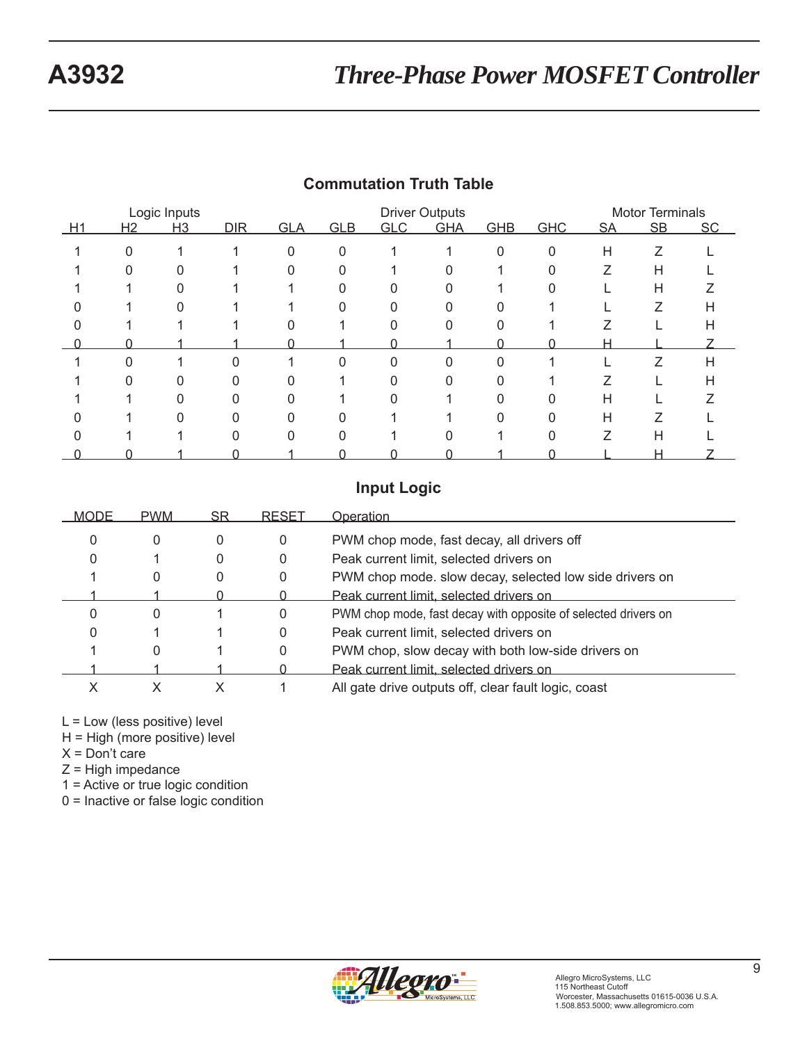|    |          | Logic Inputs |     |              |            |            | <b>Driver Outputs</b> |            |            |           | <b>Motor Terminals</b> |           |
|----|----------|--------------|-----|--------------|------------|------------|-----------------------|------------|------------|-----------|------------------------|-----------|
| H1 | H2       | H3           | DIR | <b>GLA</b>   | <b>GLB</b> | <b>GLC</b> | <b>GHA</b>            | <b>GHB</b> | <b>GHC</b> | <b>SA</b> | SB                     | <b>SC</b> |
|    | $\Omega$ |              |     | $\mathbf{0}$ | 0          |            |                       | $\Omega$   | $\Omega$   | H         | Ζ                      |           |
|    |          |              |     |              |            |            |                       |            |            |           | Н                      |           |
|    |          |              |     |              |            |            |                       |            |            |           | Н                      |           |
|    |          |              |     |              | U          |            |                       |            |            |           | Z                      | н         |
|    |          |              |     |              |            |            |                       |            |            |           |                        | H         |
|    |          |              |     |              |            |            |                       |            |            | н         |                        |           |
|    | 0        |              | 0   |              | 0          | 0          | 0                     |            |            |           | 7                      | Н         |
|    |          |              |     |              |            |            |                       |            |            |           |                        | н         |
|    |          |              |     |              |            |            |                       |            |            | н         |                        |           |
|    |          | ი            | 0   | 0            | ი          |            |                       |            |            | н         |                        |           |
|    |          |              |     |              |            |            |                       |            |            |           | Н                      |           |
|    |          |              |     |              |            |            |                       |            |            |           | н                      |           |

# **Commutation Truth Table**

## **Input Logic**

| <b>MODE</b> | <b>PWM</b> | SR | <b>RESET</b> | Operation                                                      |
|-------------|------------|----|--------------|----------------------------------------------------------------|
| 0           | 0          | 0  | 0            | PWM chop mode, fast decay, all drivers off                     |
| $\Omega$    |            | 0  | 0            | Peak current limit, selected drivers on                        |
|             | 0          |    | 0            | PWM chop mode. slow decay, selected low side drivers on        |
|             |            |    |              | Peak current limit, selected drivers on                        |
|             | 0          |    | 0            | PWM chop mode, fast decay with opposite of selected drivers on |
|             |            |    | 0            | Peak current limit, selected drivers on                        |
|             | 0          |    | 0            | PWM chop, slow decay with both low-side drivers on             |
|             |            |    |              | Peak current limit, selected drivers on                        |
|             |            |    |              | All gate drive outputs off, clear fault logic, coast           |

L = Low (less positive) level

H = High (more positive) level

 $X = Don't care$ 

 $Z =$  High impedance

1 = Active or true logic condition

0 = Inactive or false logic condition

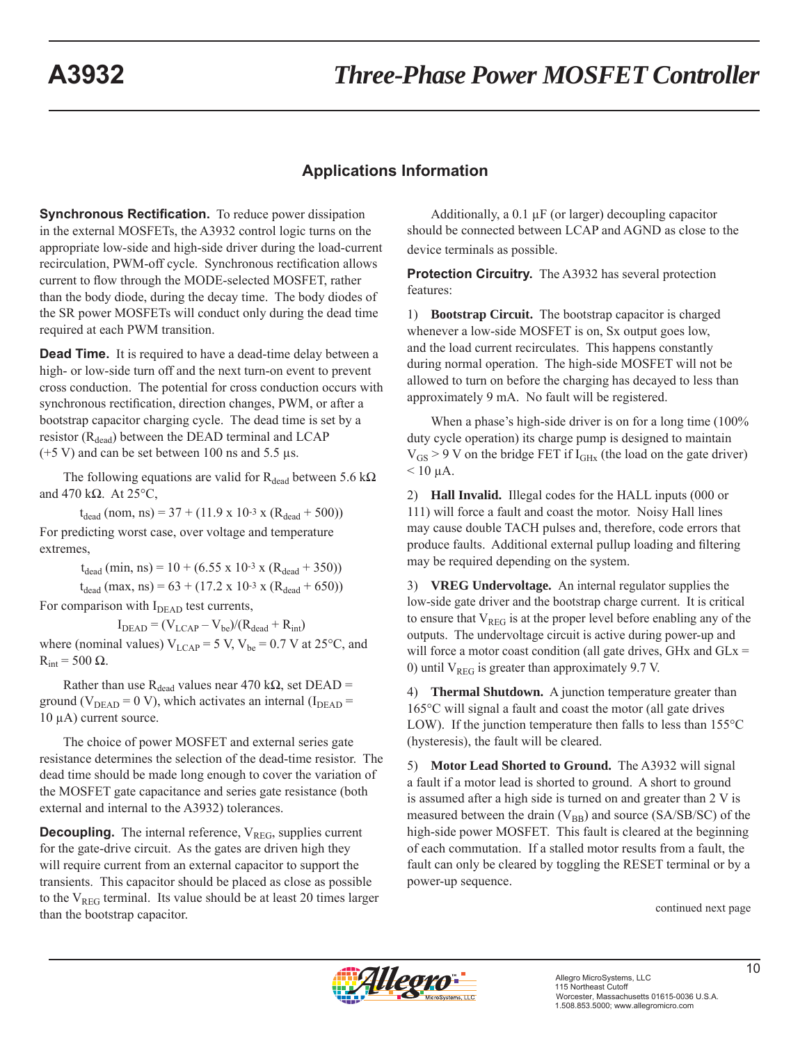#### **Applications Information**

**Synchronous Rectification.** To reduce power dissipation in the external MOSFETs, the A3932 control logic turns on the appropriate low-side and high-side driver during the load-current recirculation, PWM-off cycle. Synchronous rectification allows current to flow through the MODE-selected MOSFET, rather than the body diode, during the decay time. The body diodes of the SR power MOSFETs will conduct only during the dead time required at each PWM transition.

**Dead Time.** It is required to have a dead-time delay between a high- or low-side turn off and the next turn-on event to prevent cross conduction. The potential for cross conduction occurs with synchronous rectification, direction changes, PWM, or after a bootstrap capacitor charging cycle. The dead time is set by a resistor  $(R_{dead})$  between the DEAD terminal and LCAP  $(+5 V)$  and can be set between 100 ns and 5.5 μs.

The following equations are valid for  $R_{dead}$  between 5.6 k $\Omega$ and 470 kΩ. At 25°C,

 $t_{dead}$  (nom, ns) = 37 + (11.9 x 10-3 x (R<sub>dead</sub> + 500)) For predicting worst case, over voltage and temperature extremes,

> $t_{dead}$  (min, ns) = 10 + (6.55 x 10-3 x (R<sub>dead</sub> + 350))  $t_{dead}$  (max, ns) = 63 + (17.2 x 10<sup>-3</sup> x (R<sub>dead</sub> + 650))

For comparison with  $I<sub>DEAD</sub>$  test currents,

 $I<sub>DEAD</sub> = (V<sub>LCAP</sub> - V<sub>be</sub>)/(R<sub>dead</sub> + R<sub>int</sub>)$ where (nominal values)  $V_{LCAP} = 5 V$ ,  $V_{be} = 0.7 V$  at 25°C, and  $R_{int} = 500 \Omega$ .

Rather than use R<sub>dead</sub> values near 470 k $\Omega$ , set DEAD = ground ( $V_{DEAD} = 0$  V), which activates an internal ( $I_{DEAD} =$ 10 μA) current source.

The choice of power MOSFET and external series gate resistance determines the selection of the dead-time resistor. The dead time should be made long enough to cover the variation of the MOSFET gate capacitance and series gate resistance (both external and internal to the A3932) tolerances.

**Decoupling.** The internal reference, V<sub>REG</sub>, supplies current for the gate-drive circuit. As the gates are driven high they will require current from an external capacitor to support the transients. This capacitor should be placed as close as possible to the  $V_{REG}$  terminal. Its value should be at least 20 times larger than the bootstrap capacitor. The bootstrap capacitor.

Additionally, a 0.1 μF (or larger) decoupling capacitor should be connected between LCAP and AGND as close to the device terminals as possible.

**Protection Circuitry.** The A3932 has several protection features:

1) **Bootstrap Circuit.** The bootstrap capacitor is charged whenever a low-side MOSFET is on, Sx output goes low, and the load current recirculates. This happens constantly during normal operation. The high-side MOSFET will not be allowed to turn on before the charging has decayed to less than approximately 9 mA. No fault will be registered.

When a phase's high-side driver is on for a long time (100%) duty cycle operation) its charge pump is designed to maintain  $V_{GS}$  > 9 V on the bridge FET if  $I_{GHx}$  (the load on the gate driver)  $< 10$  μA.

2) **Hall Invalid.** Illegal codes for the HALL inputs (000 or 111) will force a fault and coast the motor. Noisy Hall lines may cause double TACH pulses and, therefore, code errors that produce faults. Additional external pullup loading and filtering may be required depending on the system.

3) **VREG Undervoltage.** An internal regulator supplies the low-side gate driver and the bootstrap charge current. It is critical to ensure that  $V_{REG}$  is at the proper level before enabling any of the outputs. The undervoltage circuit is active during power-up and will force a motor coast condition (all gate drives, GHx and  $GLx =$ 0) until  $V_{REG}$  is greater than approximately 9.7 V.

4) **Thermal Shutdown.** A junction temperature greater than 165°C will signal a fault and coast the motor (all gate drives LOW). If the junction temperature then falls to less than 155°C (hysteresis), the fault will be cleared.

5) **Motor Lead Shorted to Ground.** The A3932 will signal a fault if a motor lead is shorted to ground. A short to ground is assumed after a high side is turned on and greater than 2 V is measured between the drain  $(V_{BB})$  and source (SA/SB/SC) of the high-side power MOSFET. This fault is cleared at the beginning of each commutation. If a stalled motor results from a fault, the fault can only be cleared by toggling the RESET terminal or by a power-up sequence.

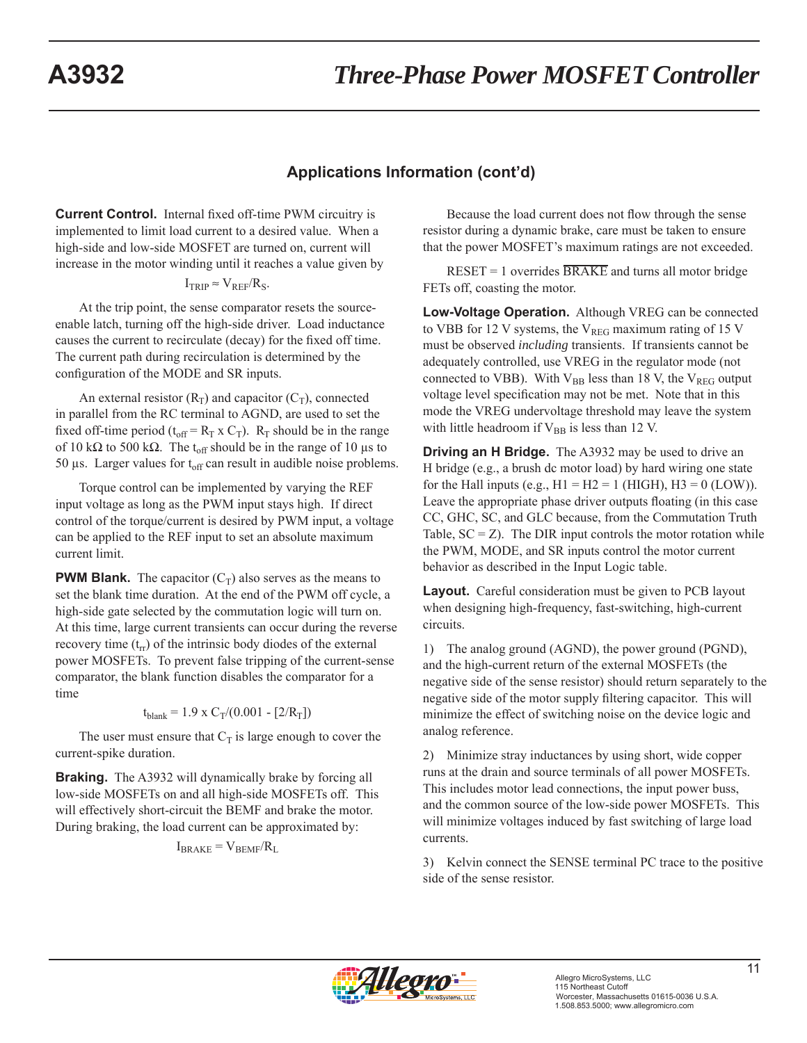# **Applications Information (cont'd)**

**Current Control.** Internal fixed off-time PWM circuitry is implemented to limit load current to a desired value. When a high-side and low-side MOSFET are turned on, current will increase in the motor winding until it reaches a value given by

$$
I_{TRIP} \approx V_{REF}/R_S.
$$

At the trip point, the sense comparator resets the sourceenable latch, turning off the high-side driver. Load inductance causes the current to recirculate (decay) for the fixed off time. The current path during recirculation is determined by the configuration of the MODE and SR inputs.

An external resistor  $(R_T)$  and capacitor  $(C_T)$ , connected in parallel from the RC terminal to AGND, are used to set the fixed off-time period ( $t_{off} = R_T \times C_T$ ).  $R_T$  should be in the range of 10 kΩ to 500 kΩ. The t<sub>off</sub> should be in the range of 10 μs to 50 μs. Larger values for  $t_{off}$  can result in audible noise problems.

Torque control can be implemented by varying the REF input voltage as long as the PWM input stays high. If direct control of the torque/current is desired by PWM input, a voltage can be applied to the REF input to set an absolute maximum current limit.

**PWM Blank.** The capacitor  $(C_T)$  also serves as the means to set the blank time duration. At the end of the PWM off cycle, a high-side gate selected by the commutation logic will turn on. At this time, large current transients can occur during the reverse recovery time  $(t_{rr})$  of the intrinsic body diodes of the external power MOSFETs. To prevent false tripping of the current-sense comparator, the blank function disables the comparator for a time

$$
t_{\text{blank}} = 1.9 \times C_T / (0.001 - [2/R_T])
$$

The user must ensure that  $C_T$  is large enough to cover the current-spike duration.

**Braking.** The A3932 will dynamically brake by forcing all low-side MOSFETs on and all high-side MOSFETs off. This will effectively short-circuit the BEMF and brake the motor. During braking, the load current can be approximated by:

 $I_{\text{BRAKE}} = V_{\text{BEMF}}/R_L$ 

Because the load current does not flow through the sense resistor during a dynamic brake, care must be taken to ensure that the power MOSFET's maximum ratings are not exceeded.

 $RESET = 1$  overrides  $BRAKE$  and turns all motor bridge FETs off, coasting the motor.

**Low-Voltage Operation.** Although VREG can be connected to VBB for 12 V systems, the  $V_{REG}$  maximum rating of 15 V must be observed *including* transients. If transients cannot be adequately controlled, use VREG in the regulator mode (not connected to VBB). With  $V_{BB}$  less than 18 V, the  $V_{REG}$  output voltage level specification may not be met. Note that in this mode the VREG undervoltage threshold may leave the system with little headroom if  $V_{BB}$  is less than 12 V.

**Driving an H Bridge.** The A3932 may be used to drive an H bridge (e.g., a brush dc motor load) by hard wiring one state for the Hall inputs (e.g.,  $H1 = H2 = 1$  (HIGH),  $H3 = 0$  (LOW)). Leave the appropriate phase driver outputs floating (in this case CC, GHC, SC, and GLC because, from the Commutation Truth Table,  $SC = Z$ ). The DIR input controls the motor rotation while the PWM, MODE, and SR inputs control the motor current behavior as described in the Input Logic table.

**Layout.** Careful consideration must be given to PCB layout when designing high-frequency, fast-switching, high-current circuits.

1) The analog ground (AGND), the power ground (PGND), and the high-current return of the external MOSFETs (the negative side of the sense resistor) should return separately to the negative side of the motor supply filtering capacitor. This will minimize the effect of switching noise on the device logic and analog reference.

2) Minimize stray inductances by using short, wide copper runs at the drain and source terminals of all power MOSFETs. This includes motor lead connections, the input power buss, and the common source of the low-side power MOSFETs. This will minimize voltages induced by fast switching of large load currents.

3) Kelvin connect the SENSE terminal PC trace to the positive side of the sense resistor.